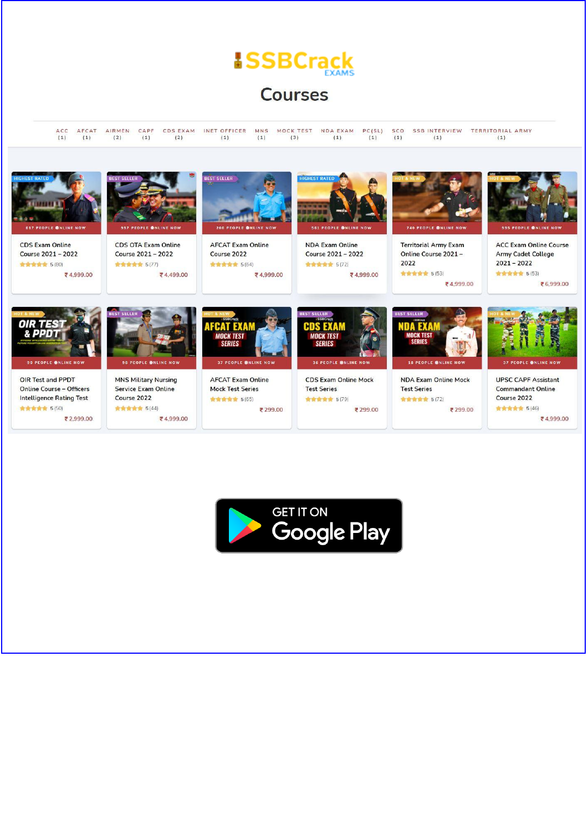**Courses** 

ACC AFCAT AIRMEN CAPF CDSEXAM INETOFFICER MNS MOCKTEST NDAEXAM PC(SL) SCO SSBINTERVIEW TERRITORIALARMY  $(1)$  $(1)$  $(2)$  $(1)$  $(2)$  $(1)$  $(1)$  $(3)$  $(1)$  $(1)$  $(1)$  $(1)$  $(1)$ 



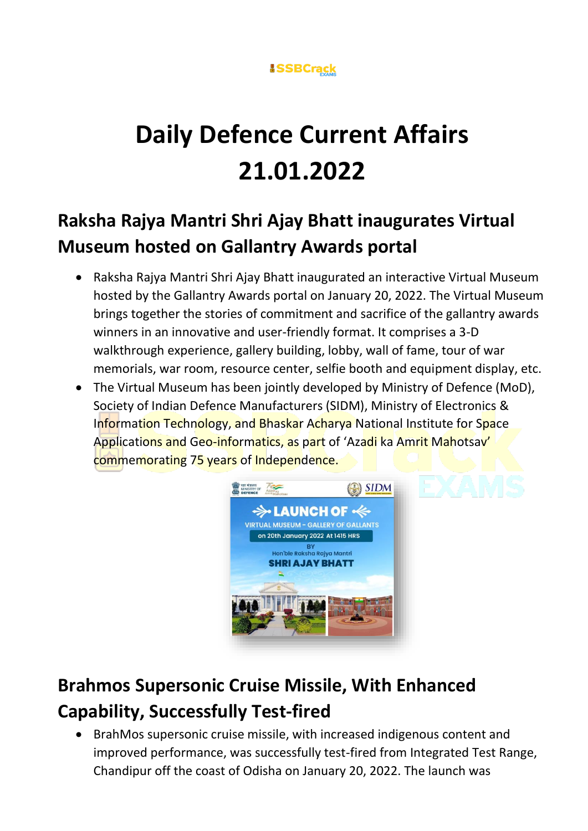

# **Daily Defence Current Affairs 21.01.2022**

## **Raksha Rajya Mantri Shri Ajay Bhatt inaugurates Virtual Museum hosted on Gallantry Awards portal**

- Raksha Rajya Mantri Shri Ajay Bhatt inaugurated an interactive Virtual Museum hosted by the Gallantry Awards portal on January 20, 2022. The Virtual Museum brings together the stories of commitment and sacrifice of the gallantry awards winners in an innovative and user-friendly format. It comprises a 3-D walkthrough experience, gallery building, lobby, wall of fame, tour of war memorials, war room, resource center, selfie booth and equipment display, etc.
- The Virtual Museum has been jointly developed by Ministry of Defence (MoD), Society of Indian Defence Manufacturers (SIDM), Ministry of Electronics & Information Technology, and Bhaskar Acharya National Institute for Space Applications and Geo-informatics, as part of 'Azadi ka Amrit Mahotsav' commemorating 75 years of Independence.



## **Brahmos Supersonic Cruise Missile, With Enhanced Capability, Successfully Test-fired**

• BrahMos supersonic cruise missile, with increased indigenous content and improved performance, was successfully test-fired from Integrated Test Range, Chandipur off the coast of Odisha on January 20, 2022. The launch was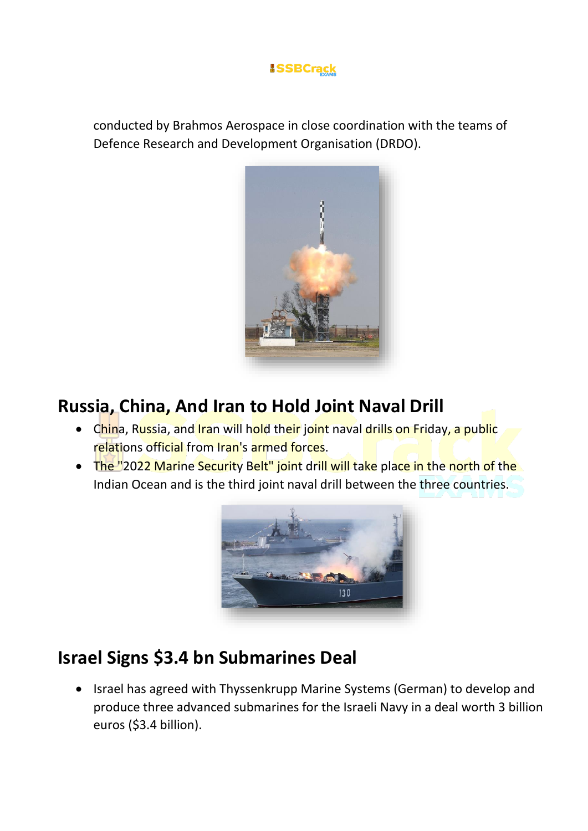

conducted by Brahmos Aerospace in close coordination with the teams of Defence Research and Development Organisation (DRDO).



### **Russia, China, And Iran to Hold Joint Naval Drill**

- China, Russia, and Iran will hold their joint naval drills on Friday, a public relations official from Iran's armed forces.
- The "2022 Marine Security Belt" joint drill will take place in the north of the Indian Ocean and is the third joint naval drill between the three countries.



## **Israel Signs \$3.4 bn Submarines Deal**

• Israel has agreed with Thyssenkrupp Marine Systems (German) to develop and produce three advanced submarines for the Israeli Navy in a deal worth 3 billion euros (\$3.4 billion).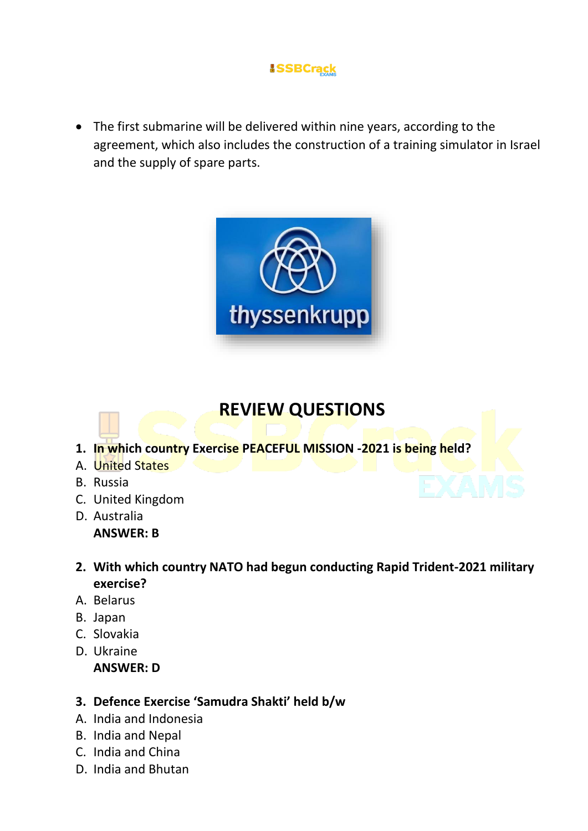• The first submarine will be delivered within nine years, according to the agreement, which also includes the construction of a training simulator in Israel and the supply of spare parts.



### **REVIEW QUESTIONS**

- **1. In which country Exercise PEACEFUL MISSION -2021 is being held?**
- A. United States
- B. Russia
- C. United Kingdom
- D. Australia **ANSWER: B**
- **2. With which country NATO had begun conducting Rapid Trident-2021 military exercise?**
- A. Belarus
- B. Japan
- C. Slovakia
- D. Ukraine **ANSWER: D**

#### **3. Defence Exercise 'Samudra Shakti' held b/w**

- A. India and Indonesia
- B. India and Nepal
- C. India and China
- D. India and Bhutan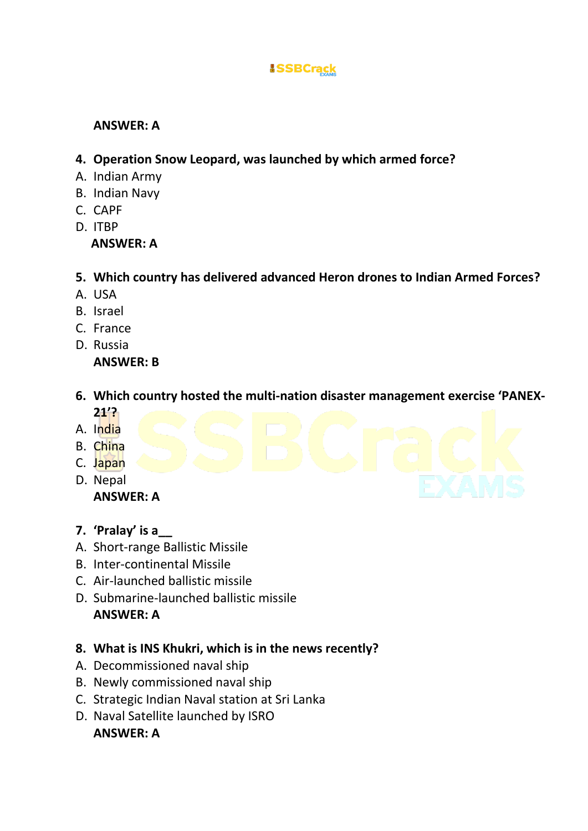#### **ANSWER: A**

- **4. Operation Snow Leopard, was launched by which armed force?**
- A. Indian Army
- B. Indian Navy
- C. CAPF
- D. ITBP

 **ANSWER: A**

- **5. Which country has delivered advanced Heron drones to Indian Armed Forces?**
- A. USA
- B. Israel
- C. France
- D. Russia

#### **ANSWER: B**

- **6. Which country hosted the multi-nation disaster management exercise 'PANEX-21'?**
- A. India
- B. China
- C. Japan
- D. Nepal **ANSWER: A**
- **7. 'Pralay' is a\_\_**
- A. Short-range Ballistic Missile
- B. Inter-continental Missile
- C. Air-launched ballistic missile
- D. Submarine-launched ballistic missile **ANSWER: A**
- **8. What is INS Khukri, which is in the news recently?**
- A. Decommissioned naval ship
- B. Newly commissioned naval ship
- C. Strategic Indian Naval station at Sri Lanka
- D. Naval Satellite launched by ISRO **ANSWER: A**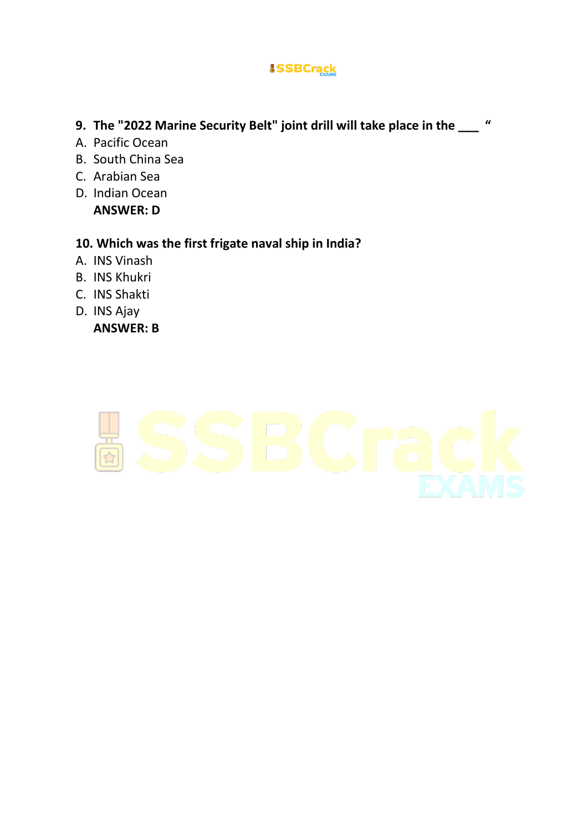- **9. The "2022 Marine Security Belt" joint drill will take place in the \_\_\_ "**
- A. Pacific Ocean
- B. South China Sea
- C. Arabian Sea
- D. Indian Ocean **ANSWER: D**

#### **10. Which was the first frigate naval ship in India?**

- A. INS Vinash
- B. INS Khukri
- C. INS Shakti
- D. INS Ajay

**ANSWER: B**